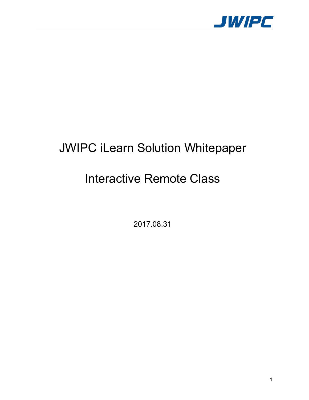

# JWIPC iLearn Solution Whitepaper

# Interactive Remote Class

2017.08.31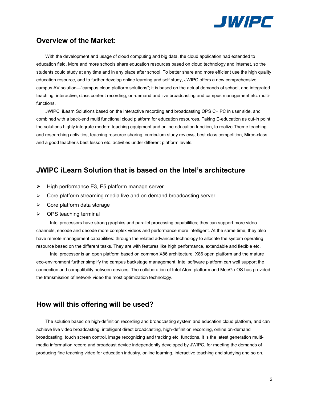

### **Overview of the Market:**

With the development and usage of cloud computing and big data, the cloud application had extended to education field. More and more schools share education resources based on cloud technology and internet, so the students could study at any time and in any place after school. To better share and more efficient use the high quality education resource, and to further develop online learning and self study, JWIPC offers a new comprehensive campus AV solution—"campus cloud platform solutions"; it is based on the actual demands of school, and integrated teaching, interactive, class content recording, on-demand and live broadcasting and campus management etc. multifunctions.

JWIPC iLearn Solutions based on the interactive recording and broadcasting OPS C+ PC in user side, and combined with a back-end multi functional cloud platform for education resources. Taking E-education as cut-in point, the solutions highly integrate modern teaching equipment and online education function, to realize Theme teaching and researching activities, teaching resource sharing, curriculum study reviews, best class competition, Mirco-class and a good teacher's best lesson etc. activities under different platform levels.

### **JWIPC iLearn Solution that is based on the Intel's architecture**

- $\triangleright$  High performance E3, E5 platform manage server
- $\triangleright$  Core platform streaming media live and on demand broadcasting server
- $\triangleright$  Core platform data storage
- $\triangleright$  OPS teaching terminal

Intel processors have strong graphics and parallel processing capabilities; they can support more video channels, encode and decode more complex videos and performance more intelligent. At the same time, they also have remote management capabilities: through the related advanced technology to allocate the system operating resource based on the different tasks. They are with features like high performance, extendable and flexible etc.

Intel processor is an open platform based on common X86 architecture. X86 open platform and the mature eco-environment further simplify the campus backstage management. Intel software platform can well support the connection and compatibility between devices. The collaboration of Intel Atom platform and MeeGo OS has provided the transmission of network video the most optimization technology.

### **How will this offering will be used?**

The solution based on high-definition recording and broadcasting system and education cloud platform, and can achieve live video broadcasting, intelligent direct broadcasting, high-definition recording, online on-demand broadcasting, touch screen control, image recognizing and tracking etc. functions. It is the latest generation multi media information record and broadcast device independently developed by JWIPC, for meeting the demands of producing fine teaching video for education industry, online learning, interactive teaching and studying and so on.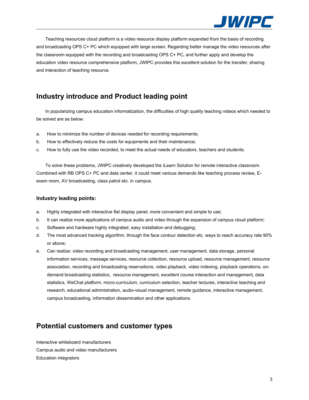

Teaching resources cloud platform is a video resource display platform expanded from the basis of recording and broadcasting OPS C+PC which equipped with large screen. Regarding better manage the video resources after the classroom equipped with the recording and broadcasting OPS C+PC, and further apply and develop the education video resource comprehensive platform, JWIPC provides this excellent solution for the transfer, sharing and interaction of teaching resource.

# **Industry introduce and Product leading point**

In popularizing campus education informatization, the difficulties of high quality teaching videos which needed to be solved are as below:

- a. How to minimize the number of devices needed for recording requirements;
- b. How to effectively reduce the costs for equipments and their maintenance;
- c. How to fully use the video recorded, to meet the actual needs of educators, teachers and students.

To solve these problems, JWIPC creatively developed the iLearn Solution for remote interactive classroom. Combined with RB OPS C+PC and data center, it could meet various demands like teaching process review, E exam room, AV broadcasting, class patrol etc. in campus.

#### **Industry leading points:**

- a. Highly integrated with interactive flat display panel, more convenient and simple to use;
- b. It can realize more applications of campus audio and video through the expansion of campus cloud platform;
- c. Software and hardware highly integrated, easy installation and debugging;
- d. The most advanced tracking algorithm, through the face contour detection etc. ways to reach accuracy rate 90% or above;
- e. Can realize: video recording and broadcasting management, user management, data storage, personal information services, message services, resource collection, resource upload, resource management, resource association, recording and broadcasting reservations, video playback, video indexing, playback operations, on demand broadcasting statistics, resource management, excellent course interaction and management, data statistics, WeChat platform, micro-curriculum, curriculum selection, teacher lectures, interactive teaching and research, educational administration, audio-visual management, remote guidance, interactive management, campus broadcasting, information dissemination and other applications.

## **Potential customers and customer types**

Interactive whiteboard manufacturers Campus audio and video manufacturers Education integrators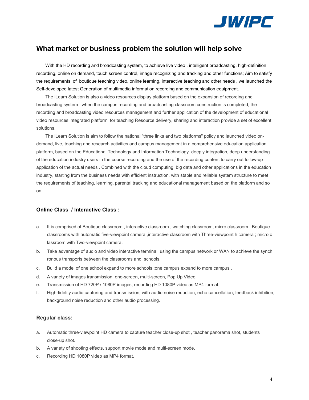

# **What market or business problem the solution will help solve**

With the HD recording and broadcasting system, to achieve live video , intelligent broadcasting, high-definition recording, online on demand, touch screen control, image recognizing and tracking and other functions; Aim to satisfy the requirements of boutique teaching video, online learning, interactive teaching and other needs , we launched the Self-developed latest Generation of multimedia information recording and communication equipment.

The iLearn Solution is also a video resources display platform based on the expansion of recording and broadcasting system ,when the campus recording and broadcasting classroom construction is completed, the recording and broadcasting video resources management and further application of the development of educational video resources integrated platform for teaching Resource delivery, sharing and interaction provide a set of excellent solutions.

The iLearn Solution is aim to follow the national "three links and two platforms" policy and launched video ondemand, live, teaching and research activities and campus management in a comprehensive education application platform, based on the Educational Technology and Information Technology deeply integration, deep understanding of the education industry users in the course recording and the use of the recording content to carry out follow-up application of the actual needs . Combined with the cloud computing, big data and other applications in the education industry, starting from the business needs with efficient instruction, with stable and reliable system structure to meet the requirements of teaching, learning, parental tracking and educational management based on the platform and so on.

### **Online Class / Interactive Class :**

- a. It is comprised of Boutique classroom , interactive classroom , watching classroom, micro classroom . Boutique classrooms with automatic five-viewpoint camera ,interactive classroom with Three-viewpoint h camera ; micro c lassroom with Two-viewpoint camera.
- b. Take advantage of audio and video interactive terminal, using the campus network or WAN to achieve the synch ronous transports between the classrooms and schools.
- c. Build a model of one school expand to more schools ;one campus expand to more campus .
- d. A variety of images transmission, one-screen, multi-screen, Pop Up Video.
- e. Transmission of HD 720P / 1080P images, recording HD 1080P video as MP4 format.
- f. High-fidelity audio capturing and transmission, with audio noise reduction, echo cancellation, feedback inhibition, background noise reduction and other audio processing.

#### **Regular class:**

- a. Automatic three-viewpoint HD camera to capture teacher close-up shot , teacher panorama shot, students close-up shot.
- b. A variety of shooting effects, support movie mode and multi-screen mode.
- c. Recording HD 1080P video as MP4 format.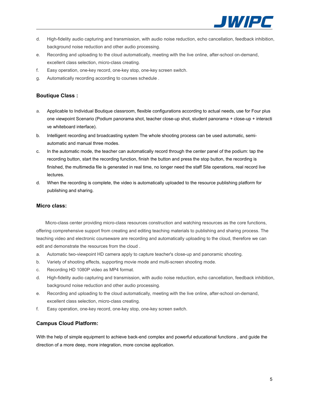

- d. High-fidelity audio capturing and transmission, with audio noise reduction, echo cancellation, feedback inhibition, background noise reduction and other audio processing.
- e. Recording and uploading to the cloud automatically, meeting with the live online, after-school on-demand, excellent class selection, micro-class creating.
- f. Easy operation, one-key record, one-key stop, one-key screen switch.
- g. Automatically recording according to courses schedule .

### **Boutique Class :**

- a. Applicable to Individual Boutique classroom, flexible configurations according to actual needs, use for Four plus one viewpoint Scenario (Podium panorama shot, teacher close-up shot, student panorama + close-up + interacti ve whiteboard interface).
- b. Intelligent recording and broadcasting system The whole shooting process can be used automatic, semi automatic and manual three modes.
- c. In the automatic mode, the teacher can automatically record through the center panel of the podium: tap the recording button, start the recording function, finish the button and press the stop button, the recording is finished, the multimedia file is generated in real time, no longer need the staff Site operations, real record live lectures.
- d. When the recording is complete, the video is automatically uploaded to the resource publishing platform for publishing and sharing.

#### **Micro class:**

Micro-class center providing micro-class resources construction and watching resources as the core functions, offering comprehensive support from creating and editing teaching materials to publishing and sharing process. The teaching video and electronic courseware are recording and automatically uploading to the cloud, therefore we can edit and demonstrate the resources from the cloud .

- a. Automatic two-viewpoint HD camera apply to capture teacher's close-up and panoramic shooting.
- b. Variety of shooting effects, supporting movie mode and multi-screen shooting mode.
- c. Recording HD 1080P video as MP4 format.
- d. High-fidelity audio capturing and transmission, with audio noise reduction, echo cancellation, feedback inhibition, background noise reduction and other audio processing.
- e. Recording and uploading to the cloud automatically, meeting with the live online, after-school on-demand, excellent class selection, micro-class creating.
- f. Easy operation, one-key record, one-key stop, one-key screen switch.

### **Campus Cloud Platform:**

With the help of simple equipment to achieve back-end complex and powerful educational functions , and guide the direction of a more deep, more integration, more concise application.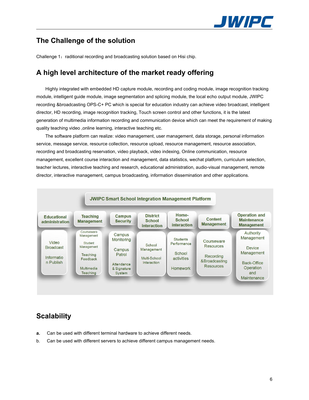

# **The Challenge of the solution**

Challenge 1: raditional recording and broadcasting solution based on Hisi chip.

## **A high level architecture of the market ready offering**

Highly integrated with embedded HD capture module, recording and coding module, image recognition tracking module, intelligent guide module, image segmentation and splicing module, the local echo output module, JWIPC recording &broadcasting OPS-C+ PC which is special for education industry can achieve video broadcast, intelligent director, HD recording, image recognition tracking, Touch screen control and other functions, it is the latest generation of multimedia information recording and communication device which can meet the requirement of making quality teaching video ,online learning, interactive teaching etc.

The software platform can realize: video management, user management, data storage, personal information service, message service, resource collection, resource upload, resource management, resource association, recording and broadcasting reservation, video playback, video indexing, Online communication, resource management, excellent course interaction and management, data statistics, wechat platform, curriculum selection, teacher lectures, interactive teaching and research, educational administration, audio-visual management, remote director, interactive management, campus broadcasting, information dissemination and other applications.



# **Scalability**

- **a.** Can be used with different terminal hardware to achieve different needs.
- b. Can be used with different servers to achieve different campus management needs.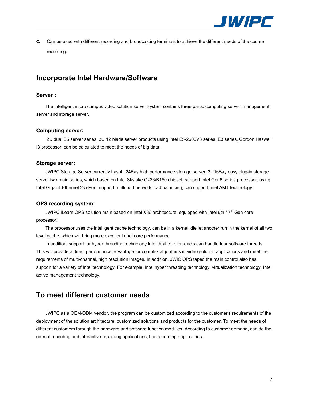

c. Can be used with different recording and broadcasting terminals to achieve the different needs of the course recording.

## **Incorporate Intel Hardware/Software**

### **Server:**

The intelligent micro campus video solution server system contains three parts: computing server, management server and storage server.

### **Computing server:**

2U dual E5 server series, 3U 12 blade server products using Intel E5-2600V3 series, E3 series, Gordon Haswell I3 processor, can be calculated to meet the needs of big data.

#### **Storage server:**

JWIPC Storage Server currently has 4U24Bay high performance storage server, 3U16Bay easy plug-in storage server two main series, which based on Intel Skylake C236/B150 chipset, support Intel Gen6 series processor, using Intel Gigabit Ethernet 2-5-Port, support multi port network load balancing, can support Intel AMT technology.

### **OPS recording system:**

JWIPC iLearn OPS solution main based on Intel X86 architecture, equipped with Intel 6th / 7th Gen core processor.

The processor uses the intelligent cache technology, can be in a kernel idle let another run in the kernel of all two level cache, which will bring more excellent dual core performance.

In addition, support for hyper threading technology Intel dual core products can handle four software threads. This will provide a direct performance advantage for complex algorithms in video solution applications and meet the requirements of multi-channel, high resolution images. In addition, JWIC OPS taped the main control also has support for a variety of Intel technology. For example, Intel hyper threading technology, virtualization technology, Intel active management technology.

## **To meet different customer needs**

JWIPC as a OEM/ODM vendor, the program can be customized according to the customer's requirements of the deployment of the solution architecture, customized solutions and products for the customer. To meet the needs of different customers through the hardware and software function modules. According to customer demand, can do the normal recording and interactive recording applications, fine recording applications.